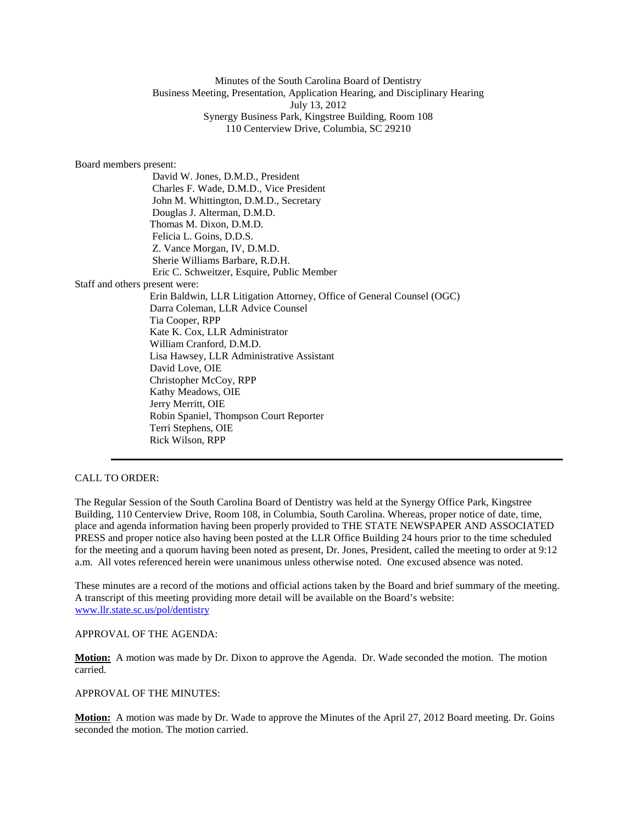# Minutes of the South Carolina Board of Dentistry Business Meeting, Presentation, Application Hearing, and Disciplinary Hearing July 13, 2012 Synergy Business Park, Kingstree Building, Room 108 110 Centerview Drive, Columbia, SC 29210

#### Board members present:

|                                | David W. Jones, D.M.D., President                                      |
|--------------------------------|------------------------------------------------------------------------|
|                                | Charles F. Wade, D.M.D., Vice President                                |
|                                | John M. Whittington, D.M.D., Secretary                                 |
|                                | Douglas J. Alterman, D.M.D.                                            |
|                                | Thomas M. Dixon, D.M.D.                                                |
|                                | Felicia L. Goins, D.D.S.                                               |
|                                | Z. Vance Morgan, IV, D.M.D.                                            |
|                                | Sherie Williams Barbare, R.D.H.                                        |
|                                | Eric C. Schweitzer, Esquire, Public Member                             |
| Staff and others present were: |                                                                        |
|                                | Erin Baldwin, LLR Litigation Attorney, Office of General Counsel (OGC) |
|                                | Darra Coleman, LLR Advice Counsel                                      |
|                                | Tia Cooper, RPP                                                        |
|                                | Kate K. Cox, LLR Administrator                                         |
|                                | William Cranford, D.M.D.                                               |
|                                | Lisa Hawsey, LLR Administrative Assistant                              |
|                                | David Love, OIE                                                        |
|                                | Christopher McCoy, RPP                                                 |
|                                | Kathy Meadows, OIE                                                     |
|                                | Jerry Merritt, OIE                                                     |
|                                | Robin Spaniel, Thompson Court Reporter                                 |
|                                | Terri Stephens, OIE                                                    |
|                                | Rick Wilson, RPP                                                       |
|                                |                                                                        |

# CALL TO ORDER:

The Regular Session of the South Carolina Board of Dentistry was held at the Synergy Office Park, Kingstree Building, 110 Centerview Drive, Room 108, in Columbia, South Carolina. Whereas, proper notice of date, time, place and agenda information having been properly provided to THE STATE NEWSPAPER AND ASSOCIATED PRESS and proper notice also having been posted at the LLR Office Building 24 hours prior to the time scheduled for the meeting and a quorum having been noted as present, Dr. Jones, President, called the meeting to order at 9:12 a.m. All votes referenced herein were unanimous unless otherwise noted. One excused absence was noted.

These minutes are a record of the motions and official actions taken by the Board and brief summary of the meeting. A transcript of this meeting providing more detail will be available on the Board's website: [www.llr.state.sc.us/pol/dentistry](http://www.llr.state.sc.us/pol/dentistry)

### APPROVAL OF THE AGENDA:

**Motion:** A motion was made by Dr. Dixon to approve the Agenda. Dr. Wade seconded the motion. The motion carried.

### APPROVAL OF THE MINUTES:

**Motion:** A motion was made by Dr. Wade to approve the Minutes of the April 27, 2012 Board meeting. Dr. Goins seconded the motion. The motion carried.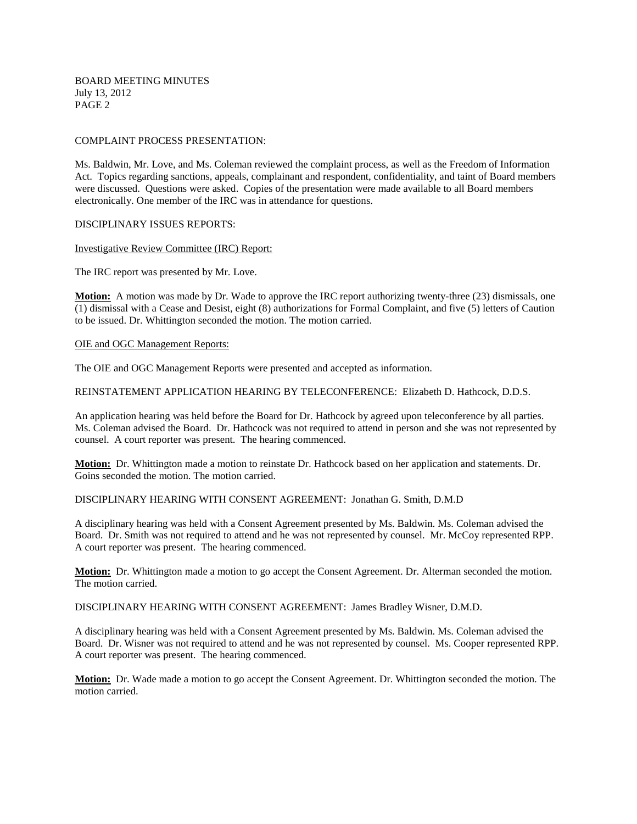BOARD MEETING MINUTES July 13, 2012 PAGE 2

### COMPLAINT PROCESS PRESENTATION:

Ms. Baldwin, Mr. Love, and Ms. Coleman reviewed the complaint process, as well as the Freedom of Information Act. Topics regarding sanctions, appeals, complainant and respondent, confidentiality, and taint of Board members were discussed. Questions were asked. Copies of the presentation were made available to all Board members electronically. One member of the IRC was in attendance for questions.

### DISCIPLINARY ISSUES REPORTS:

### Investigative Review Committee (IRC) Report:

The IRC report was presented by Mr. Love.

**Motion:** A motion was made by Dr. Wade to approve the IRC report authorizing twenty-three (23) dismissals, one (1) dismissal with a Cease and Desist, eight (8) authorizations for Formal Complaint, and five (5) letters of Caution to be issued. Dr. Whittington seconded the motion. The motion carried.

### OIE and OGC Management Reports:

The OIE and OGC Management Reports were presented and accepted as information.

REINSTATEMENT APPLICATION HEARING BY TELECONFERENCE: Elizabeth D. Hathcock, D.D.S.

An application hearing was held before the Board for Dr. Hathcock by agreed upon teleconference by all parties. Ms. Coleman advised the Board. Dr. Hathcock was not required to attend in person and she was not represented by counsel. A court reporter was present. The hearing commenced.

**Motion:** Dr. Whittington made a motion to reinstate Dr. Hathcock based on her application and statements. Dr. Goins seconded the motion. The motion carried.

DISCIPLINARY HEARING WITH CONSENT AGREEMENT: Jonathan G. Smith, D.M.D

A disciplinary hearing was held with a Consent Agreement presented by Ms. Baldwin. Ms. Coleman advised the Board. Dr. Smith was not required to attend and he was not represented by counsel. Mr. McCoy represented RPP. A court reporter was present. The hearing commenced.

**Motion:** Dr. Whittington made a motion to go accept the Consent Agreement. Dr. Alterman seconded the motion. The motion carried.

DISCIPLINARY HEARING WITH CONSENT AGREEMENT: James Bradley Wisner, D.M.D.

A disciplinary hearing was held with a Consent Agreement presented by Ms. Baldwin. Ms. Coleman advised the Board. Dr. Wisner was not required to attend and he was not represented by counsel. Ms. Cooper represented RPP. A court reporter was present. The hearing commenced.

**Motion:** Dr. Wade made a motion to go accept the Consent Agreement. Dr. Whittington seconded the motion. The motion carried.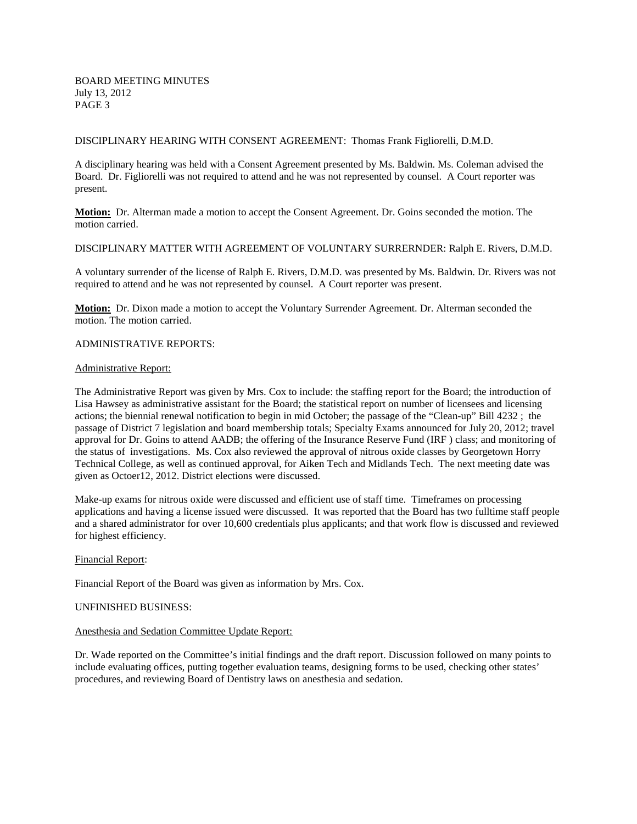### DISCIPLINARY HEARING WITH CONSENT AGREEMENT: Thomas Frank Figliorelli, D.M.D.

A disciplinary hearing was held with a Consent Agreement presented by Ms. Baldwin. Ms. Coleman advised the Board. Dr. Figliorelli was not required to attend and he was not represented by counsel. A Court reporter was present.

**Motion:** Dr. Alterman made a motion to accept the Consent Agreement. Dr. Goins seconded the motion. The motion carried.

## DISCIPLINARY MATTER WITH AGREEMENT OF VOLUNTARY SURRERNDER: Ralph E. Rivers, D.M.D.

A voluntary surrender of the license of Ralph E. Rivers, D.M.D. was presented by Ms. Baldwin. Dr. Rivers was not required to attend and he was not represented by counsel. A Court reporter was present.

**Motion:** Dr. Dixon made a motion to accept the Voluntary Surrender Agreement. Dr. Alterman seconded the motion. The motion carried.

### ADMINISTRATIVE REPORTS:

### Administrative Report:

The Administrative Report was given by Mrs. Cox to include: the staffing report for the Board; the introduction of Lisa Hawsey as administrative assistant for the Board; the statistical report on number of licensees and licensing actions; the biennial renewal notification to begin in mid October; the passage of the "Clean-up" Bill 4232 ; the passage of District 7 legislation and board membership totals; Specialty Exams announced for July 20, 2012; travel approval for Dr. Goins to attend AADB; the offering of the Insurance Reserve Fund (IRF ) class; and monitoring of the status of investigations. Ms. Cox also reviewed the approval of nitrous oxide classes by Georgetown Horry Technical College, as well as continued approval, for Aiken Tech and Midlands Tech. The next meeting date was given as Octoer12, 2012. District elections were discussed.

Make-up exams for nitrous oxide were discussed and efficient use of staff time. Timeframes on processing applications and having a license issued were discussed. It was reported that the Board has two fulltime staff people and a shared administrator for over 10,600 credentials plus applicants; and that work flow is discussed and reviewed for highest efficiency.

### Financial Report:

Financial Report of the Board was given as information by Mrs. Cox.

### UNFINISHED BUSINESS:

### Anesthesia and Sedation Committee Update Report:

Dr. Wade reported on the Committee's initial findings and the draft report. Discussion followed on many points to include evaluating offices, putting together evaluation teams, designing forms to be used, checking other states' procedures, and reviewing Board of Dentistry laws on anesthesia and sedation.